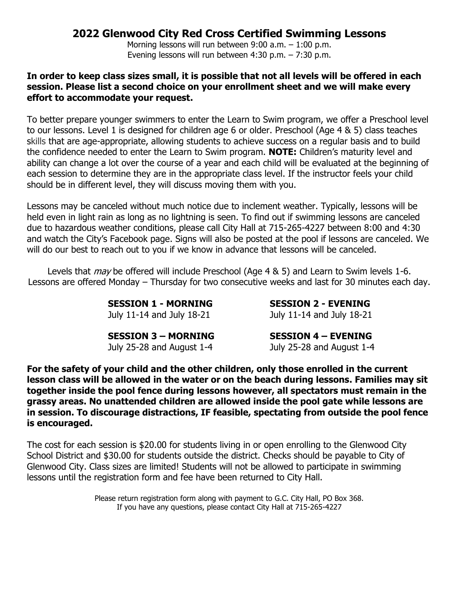## **2022 Glenwood City Red Cross Certified Swimming Lessons**

Morning lessons will run between 9:00 a.m. – 1:00 p.m. Evening lessons will run between 4:30 p.m. – 7:30 p.m.

## **In order to keep class sizes small, it is possible that not all levels will be offered in each session. Please list a second choice on your enrollment sheet and we will make every effort to accommodate your request.**

To better prepare younger swimmers to enter the Learn to Swim program, we offer a Preschool level to our lessons. Level 1 is designed for children age 6 or older. Preschool (Age 4 & 5) class teaches skills that are age-appropriate, allowing students to achieve success on a regular basis and to build the confidence needed to enter the Learn to Swim program. **NOTE:** Children's maturity level and ability can change a lot over the course of a year and each child will be evaluated at the beginning of each session to determine they are in the appropriate class level. If the instructor feels your child should be in different level, they will discuss moving them with you.

Lessons may be canceled without much notice due to inclement weather. Typically, lessons will be held even in light rain as long as no lightning is seen. To find out if swimming lessons are canceled due to hazardous weather conditions, please call City Hall at 715-265-4227 between 8:00 and 4:30 and watch the City's Facebook page. Signs will also be posted at the pool if lessons are canceled. We will do our best to reach out to you if we know in advance that lessons will be canceled.

Levels that *may* be offered will include Preschool (Age 4 & 5) and Learn to Swim levels 1-6. Lessons are offered Monday – Thursday for two consecutive weeks and last for 30 minutes each day.

> **SESSION 1 - MORNING SESSION 2 - EVENING** July 11-14 and July 18-21 July 11-14 and July 18-21

**SESSION 3 – MORNING SESSION 4 – EVENING**

July 25-28 and August 1-4 July 25-28 and August 1-4

**For the safety of your child and the other children, only those enrolled in the current lesson class will be allowed in the water or on the beach during lessons. Families may sit together inside the pool fence during lessons however, all spectators must remain in the grassy areas. No unattended children are allowed inside the pool gate while lessons are in session. To discourage distractions, IF feasible, spectating from outside the pool fence is encouraged.**

The cost for each session is \$20.00 for students living in or open enrolling to the Glenwood City School District and \$30.00 for students outside the district. Checks should be payable to City of Glenwood City. Class sizes are limited! Students will not be allowed to participate in swimming lessons until the registration form and fee have been returned to City Hall.

> Please return registration form along with payment to G.C. City Hall, PO Box 368. If you have any questions, please contact City Hall at 715-265-4227